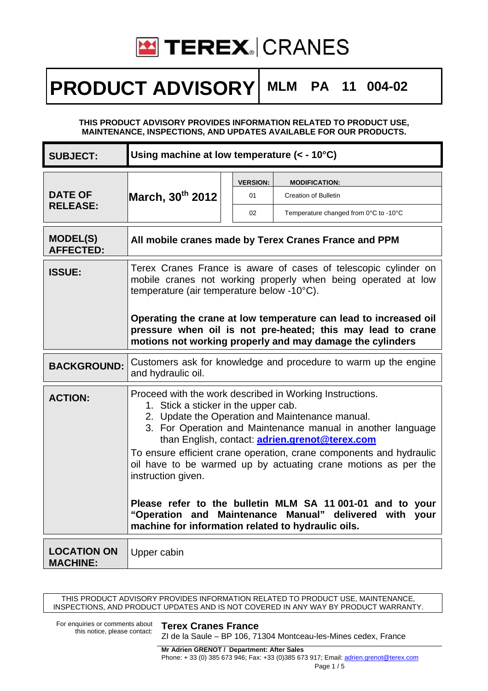

## **PRODUCT ADVISORY MLM PA 11 004-02**

### **THIS PRODUCT ADVISORY PROVIDES INFORMATION RELATED TO PRODUCT USE, MAINTENANCE, INSPECTIONS, AND UPDATES AVAILABLE FOR OUR PRODUCTS.**

| <b>SUBJECT:</b>                       | Using machine at low temperature (< - 10°C)                                                                                                                                                                                                                                                                                                                                                                                                                                                                                                                                                                         |                             |                                                                                              |
|---------------------------------------|---------------------------------------------------------------------------------------------------------------------------------------------------------------------------------------------------------------------------------------------------------------------------------------------------------------------------------------------------------------------------------------------------------------------------------------------------------------------------------------------------------------------------------------------------------------------------------------------------------------------|-----------------------------|----------------------------------------------------------------------------------------------|
| <b>DATE OF</b><br><b>RELEASE:</b>     | March, 30 <sup>th</sup> 2012                                                                                                                                                                                                                                                                                                                                                                                                                                                                                                                                                                                        | <b>VERSION:</b><br>01<br>02 | <b>MODIFICATION:</b><br><b>Creation of Bulletin</b><br>Temperature changed from 0°C to -10°C |
| <b>MODEL(S)</b><br><b>AFFECTED:</b>   | All mobile cranes made by Terex Cranes France and PPM                                                                                                                                                                                                                                                                                                                                                                                                                                                                                                                                                               |                             |                                                                                              |
| <b>ISSUE:</b>                         | Terex Cranes France is aware of cases of telescopic cylinder on<br>mobile cranes not working properly when being operated at low<br>temperature (air temperature below -10°C).<br>Operating the crane at low temperature can lead to increased oil<br>pressure when oil is not pre-heated; this may lead to crane<br>motions not working properly and may damage the cylinders                                                                                                                                                                                                                                      |                             |                                                                                              |
| <b>BACKGROUND:</b>                    | Customers ask for knowledge and procedure to warm up the engine<br>and hydraulic oil.                                                                                                                                                                                                                                                                                                                                                                                                                                                                                                                               |                             |                                                                                              |
| <b>ACTION:</b>                        | Proceed with the work described in Working Instructions.<br>1. Stick a sticker in the upper cab.<br>2. Update the Operation and Maintenance manual.<br>3. For Operation and Maintenance manual in another language<br>than English, contact: adrien.grenot@terex.com<br>To ensure efficient crane operation, crane components and hydraulic<br>oil have to be warmed up by actuating crane motions as per the<br>instruction given.<br>Please refer to the bulletin MLM SA 11 001-01 and to your<br>"Operation and Maintenance Manual" delivered with<br>your<br>machine for information related to hydraulic oils. |                             |                                                                                              |
| <b>LOCATION ON</b><br><b>MACHINE:</b> | Upper cabin                                                                                                                                                                                                                                                                                                                                                                                                                                                                                                                                                                                                         |                             |                                                                                              |

THIS PRODUCT ADVISORY PROVIDES INFORMATION RELATED TO PRODUCT USE, MAINTENANCE, INSPECTIONS, AND PRODUCT UPDATES AND IS NOT COVERED IN ANY WAY BY PRODUCT WARRANTY.

For enquiries or comments about<br>this notice, please contact:

### **Terex Cranes France**

ZI de la Saule – BP 106, 71304 Montceau-les-Mines cedex, France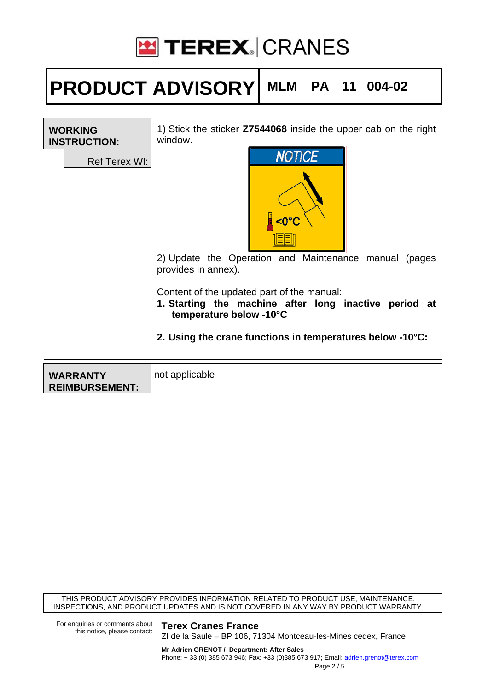

# **PRODUCT ADVISORY MLM PA 11 004-02**

| <b>WORKING</b><br><b>INSTRUCTION:</b>    | 1) Stick the sticker <b>Z7544068</b> inside the upper cab on the right<br>window.                                                                                                                                                                                                                                          |  |
|------------------------------------------|----------------------------------------------------------------------------------------------------------------------------------------------------------------------------------------------------------------------------------------------------------------------------------------------------------------------------|--|
| <b>Ref Terex WI:</b>                     | <b>NOTICE</b><br>$\leq 0^{\circ}$<br>2) Update the Operation and Maintenance manual (pages<br>provides in annex).<br>Content of the updated part of the manual:<br>1. Starting the machine after long inactive period at<br>temperature below -10°C<br>2. Using the crane functions in temperatures below $-10^{\circ}$ C: |  |
| <b>WARRANTY</b><br><b>REIMBURSEMENT:</b> | not applicable                                                                                                                                                                                                                                                                                                             |  |

THIS PRODUCT ADVISORY PROVIDES INFORMATION RELATED TO PRODUCT USE, MAINTENANCE, INSPECTIONS, AND PRODUCT UPDATES AND IS NOT COVERED IN ANY WAY BY PRODUCT WARRANTY.

For enquiries or comments about<br>this notice, please contact:

#### **Terex Cranes France**

ZI de la Saule – BP 106, 71304 Montceau-les-Mines cedex, France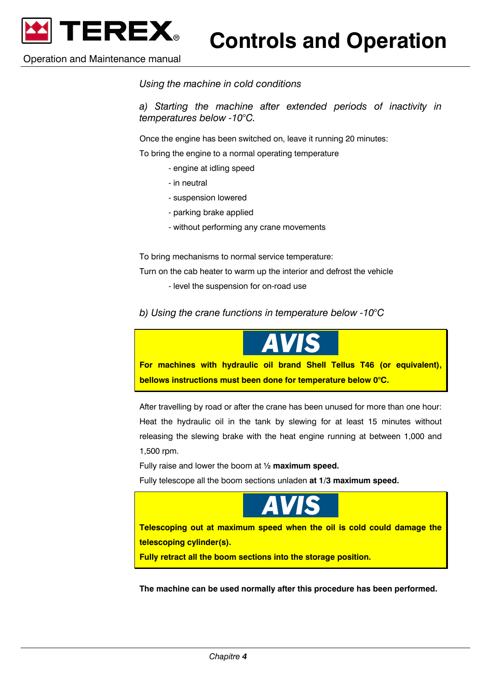

Operation and Maintenance manual

*Using the machine in cold conditions* 

*a) Starting the machine after extended periods of inactivity in temperatures below -10°C.* 

Once the engine has been switched on, leave it running 20 minutes:

To bring the engine to a normal operating temperature

- engine at idling speed
- in neutral
- suspension lowered
- parking brake applied
- without performing any crane movements

To bring mechanisms to normal service temperature:

Turn on the cab heater to warm up the interior and defrost the vehicle

- level the suspension for on-road use
- *b) Using the crane functions in temperature below -10°C*



After travelling by road or after the crane has been unused for more than one hour: Heat the hydraulic oil in the tank by slewing for at least 15 minutes without releasing the slewing brake with the heat engine running at between 1,000 and 1,500 rpm.

Fully raise and lower the boom at **½ maximum speed.** 

Fully telescope all the boom sections unladen **at 1/3 maximum speed.** 



**Telescoping out at maximum speed when the oil is cold could damage the telescoping cylinder(s).** 

**Fully retract all the boom sections into the storage position.** 

**The machine can be used normally after this procedure has been performed.**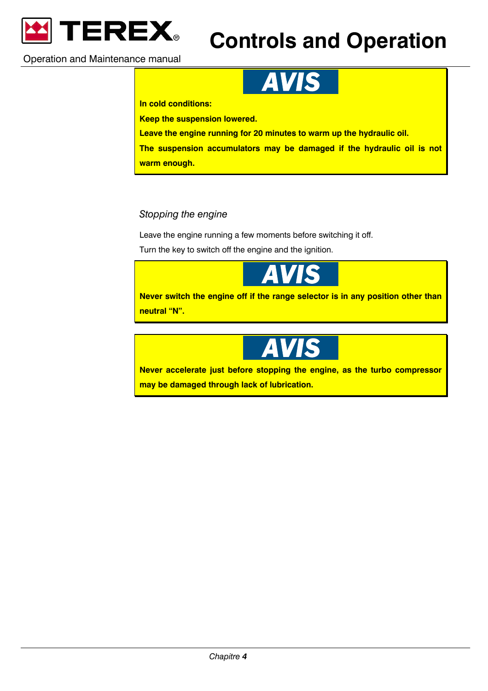

## **Controls and Operation**

Operation and Maintenance manual



**In cold conditions:** 

**Keep the suspension lowered.** 

**Leave the engine running for 20 minutes to warm up the hydraulic oil.** 

**The suspension accumulators may be damaged if the hydraulic oil is not** 

**warm enough.** 

### *Stopping the engine*

Leave the engine running a few moments before switching it off.

Turn the key to switch off the engine and the ignition.



**Never switch the engine off if the range selector is in any position other than neutral "N".** 



**Never accelerate just before stopping the engine, as the turbo compressor may be damaged through lack of lubrication.**